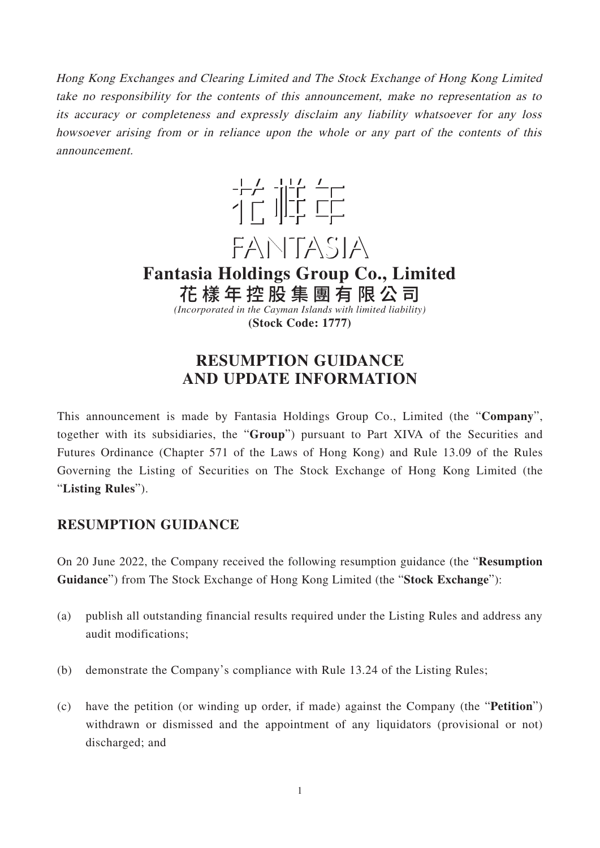Hong Kong Exchanges and Clearing Limited and The Stock Exchange of Hong Kong Limited take no responsibility for the contents of this announcement, make no representation as to its accuracy or completeness and expressly disclaim any liability whatsoever for any loss howsoever arising from or in reliance upon the whole or any part of the contents of this announcement.



**Fantasia Holdings Group Co., Limited** 花樣年控股集團有限公 司

*(Incorporated in the Cayman Islands with limited liability)* **(Stock Code: 1777)**

# **RESUMPTION GUIDANCE AND UPDATE INFORMATION**

This announcement is made by Fantasia Holdings Group Co., Limited (the "**Company**", together with its subsidiaries, the "**Group**") pursuant to Part XIVA of the Securities and Futures Ordinance (Chapter 571 of the Laws of Hong Kong) and Rule 13.09 of the Rules Governing the Listing of Securities on The Stock Exchange of Hong Kong Limited (the "**Listing Rules**").

## **RESUMPTION GUIDANCE**

On 20 June 2022, the Company received the following resumption guidance (the "**Resumption Guidance**") from The Stock Exchange of Hong Kong Limited (the "**Stock Exchange**"):

- (a) publish all outstanding financial results required under the Listing Rules and address any audit modifications;
- (b) demonstrate the Company's compliance with Rule 13.24 of the Listing Rules;
- (c) have the petition (or winding up order, if made) against the Company (the "**Petition**") withdrawn or dismissed and the appointment of any liquidators (provisional or not) discharged; and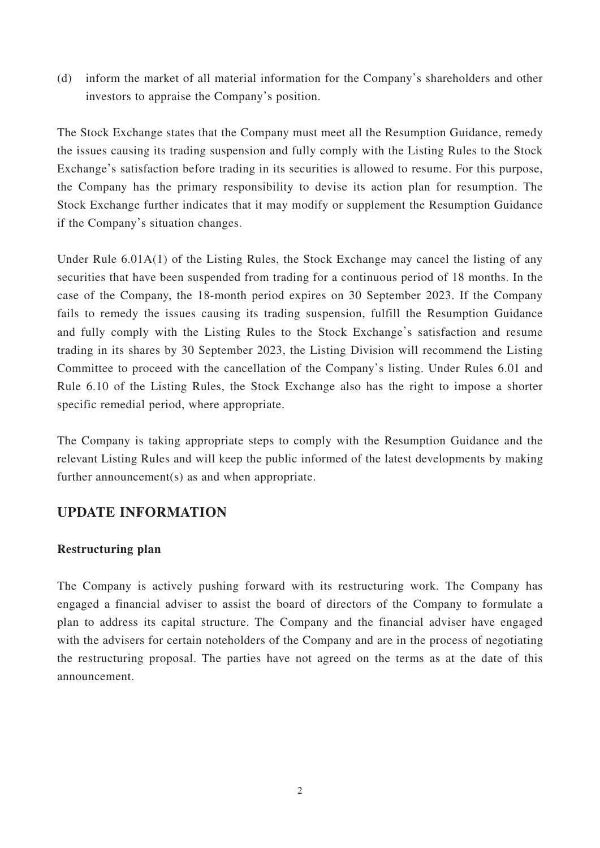(d) inform the market of all material information for the Company's shareholders and other investors to appraise the Company's position.

The Stock Exchange states that the Company must meet all the Resumption Guidance, remedy the issues causing its trading suspension and fully comply with the Listing Rules to the Stock Exchange's satisfaction before trading in its securities is allowed to resume. For this purpose, the Company has the primary responsibility to devise its action plan for resumption. The Stock Exchange further indicates that it may modify or supplement the Resumption Guidance if the Company's situation changes.

Under Rule 6.01A(1) of the Listing Rules, the Stock Exchange may cancel the listing of any securities that have been suspended from trading for a continuous period of 18 months. In the case of the Company, the 18-month period expires on 30 September 2023. If the Company fails to remedy the issues causing its trading suspension, fulfill the Resumption Guidance and fully comply with the Listing Rules to the Stock Exchange's satisfaction and resume trading in its shares by 30 September 2023, the Listing Division will recommend the Listing Committee to proceed with the cancellation of the Company's listing. Under Rules 6.01 and Rule 6.10 of the Listing Rules, the Stock Exchange also has the right to impose a shorter specific remedial period, where appropriate.

The Company is taking appropriate steps to comply with the Resumption Guidance and the relevant Listing Rules and will keep the public informed of the latest developments by making further announcement(s) as and when appropriate.

### **UPDATE INFORMATION**

#### **Restructuring plan**

The Company is actively pushing forward with its restructuring work. The Company has engaged a financial adviser to assist the board of directors of the Company to formulate a plan to address its capital structure. The Company and the financial adviser have engaged with the advisers for certain noteholders of the Company and are in the process of negotiating the restructuring proposal. The parties have not agreed on the terms as at the date of this announcement.